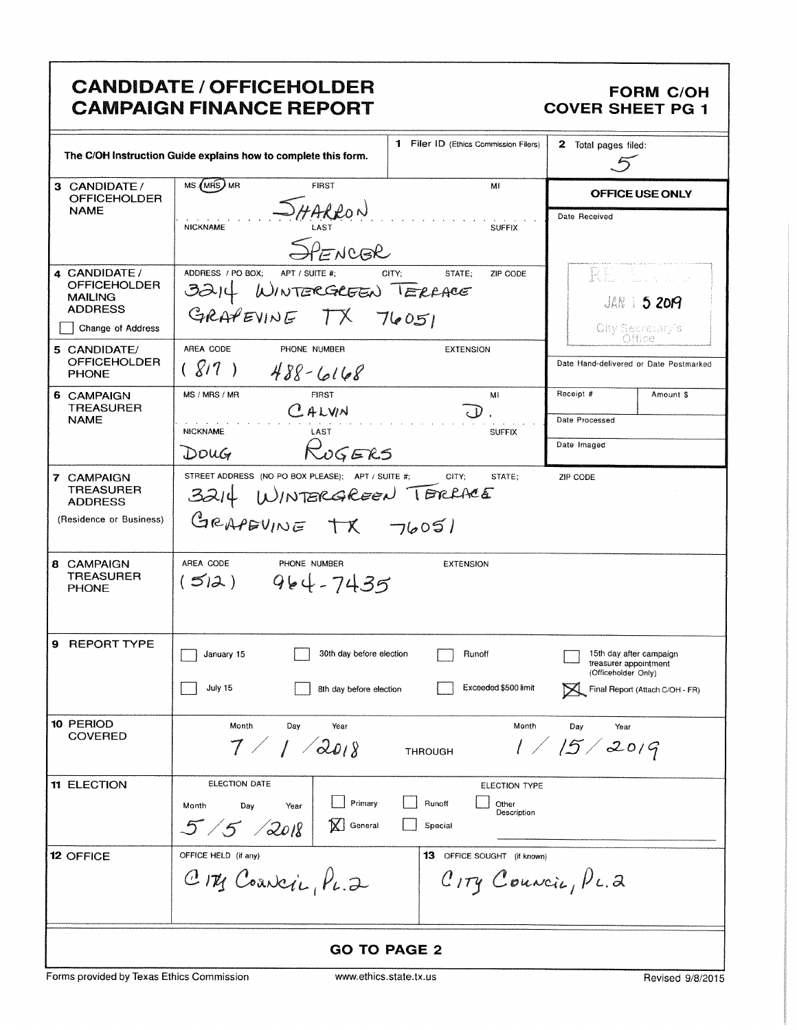|                                                                                                                               | <b>CANDIDATE / OFFICEHOLDER</b><br><b>CAMPAIGN FINANCE REPORT</b>                                                                                                                             | <b>FORM C/OH</b><br><b>COVER SHEET PG 1</b>                                                                |  |
|-------------------------------------------------------------------------------------------------------------------------------|-----------------------------------------------------------------------------------------------------------------------------------------------------------------------------------------------|------------------------------------------------------------------------------------------------------------|--|
|                                                                                                                               | 1 Filer ID (Ethics Commission Filers)<br>The C/OH Instruction Guide explains how to complete this form.                                                                                       |                                                                                                            |  |
| 3 CANDIDATE /<br><b>OFFICEHOLDER</b>                                                                                          | MS (MRS) MR<br><b>FIRST</b><br>Mi                                                                                                                                                             | <b>OFFICE USE ONLY</b>                                                                                     |  |
| <b>NAME</b>                                                                                                                   | HARRON<br><b>NICKNAME</b><br><b>SUFFIX</b><br>SPENCER                                                                                                                                         | Date Received                                                                                              |  |
| 4 CANDIDATE /<br><b>OFFICEHOLDER</b><br><b>MAILING</b><br><b>ADDRESS</b><br>Change of Address                                 | ADDRESS / PO BOX:<br>APT / SUITE #;<br>CITY;<br>STATE:<br>ZIP CODE<br>WINTERGREEN TERFACE<br>3214<br>GRAPEVINE TX 76051                                                                       | REGUL 1<br><b>JAN 1 5 2019</b><br>City Secretary's<br>Office                                               |  |
| 5 CANDIDATE/<br><b>OFFICEHOLDER</b><br><b>PHONE</b>                                                                           | AREA CODE<br>PHONE NUMBER<br><b>EXTENSION</b><br>(817)<br>$488 - 6168$                                                                                                                        | Date Hand-delivered or Date Postmarked                                                                     |  |
| 6 CAMPAIGN<br>TREASURER                                                                                                       | MS / MRS / MR<br><b>FIRST</b><br>MI<br>CALVIN                                                                                                                                                 | Receipt #<br>Amount \$                                                                                     |  |
| <b>NAME</b>                                                                                                                   | <b>NICKNAME</b><br>LAST<br><b>SUFFIX</b>                                                                                                                                                      | Date Processed                                                                                             |  |
|                                                                                                                               | ROGERS<br>Doug                                                                                                                                                                                | Date Imaged                                                                                                |  |
| 7 CAMPAIGN<br><b>TREASURER</b><br><b>ADDRESS</b><br>(Residence or Business)<br>8 CAMPAIGN<br><b>TREASURER</b><br><b>PHONE</b> | STREET ADDRESS (NO PO BOX PLEASE); APT / SUITE #;<br>CITY:<br>STATE;<br>3214 WINTERGREEN TERRACE<br>GRAPEVINE TX 76051<br>AREA CODE<br>PHONE NUMBER<br><b>EXTENSION</b><br>$(512)$ $964-7435$ | ZIP CODE                                                                                                   |  |
| 9 REPORT TYPE                                                                                                                 | 30th day before election<br>January 15<br>Runoff<br>July 15<br>Exceeded \$500 limit<br>8th day before election                                                                                | 15th day after campaign<br>treasurer appointment<br>(Officeholder Only)<br>Final Report (Attach C/OH - FR) |  |
| 10 PERIOD<br><b>COVERED</b>                                                                                                   | Month<br>Day<br>Year<br>Month<br>7/1/2018<br><b>THROUGH</b>                                                                                                                                   | Day<br>Year<br>1/15/2019                                                                                   |  |
| <b>11 ELECTION</b>                                                                                                            | ELECTION DATE<br>ELECTION TYPE<br>Primary<br>Runoff<br>Other<br>Month<br>Day<br>Year<br>Description<br>$5/5$ 2018<br>General<br>Special                                                       |                                                                                                            |  |
| <b>12 OFFICE</b>                                                                                                              | OFFICE HELD (if any)<br><b>13</b> OFFICE SOUGHT (if known)<br>CITY Council, PL.2<br>$C_{ITY}$ Councis, $P$ c. 2                                                                               |                                                                                                            |  |
|                                                                                                                               | <b>GO TO PAGE 2</b>                                                                                                                                                                           |                                                                                                            |  |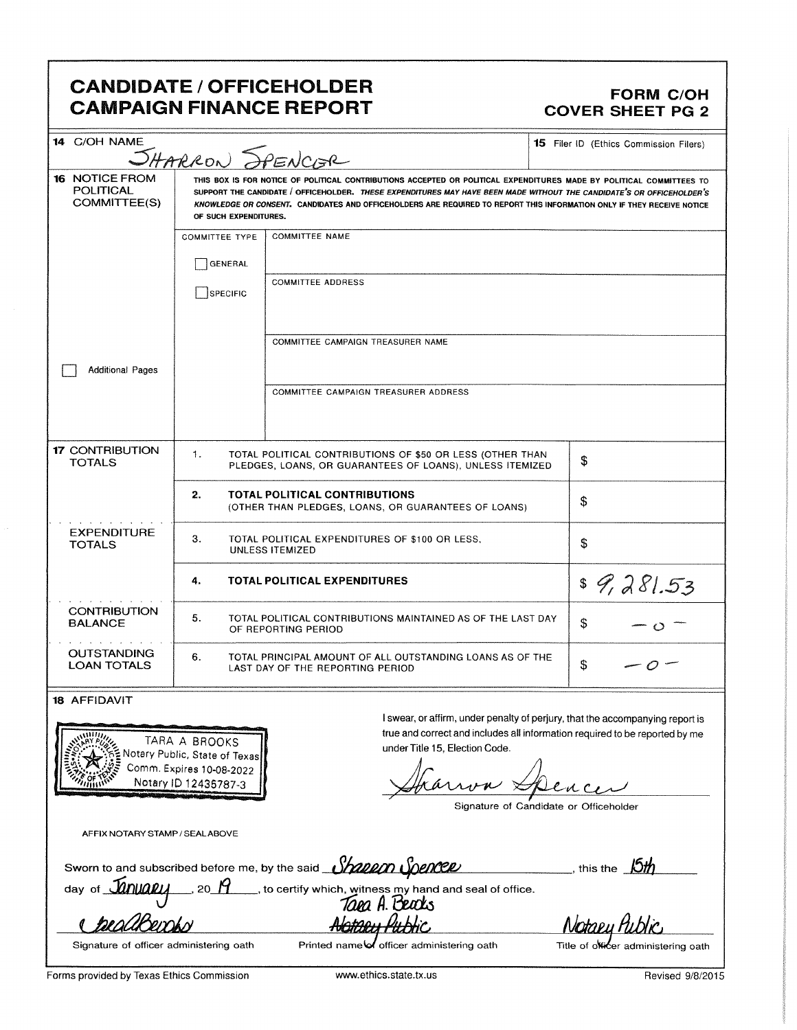# CANDIDATE / OFFICEHOLDER<br>CAMPAIGN FINANCE REPORT COVER SHEET PG 2 **CAMPAIGN FINANCE REPORT**

| 14 C/OH NAME                                       |                                                                                                                                                                                                                                                                                                                                                                                                  |                                                                                                                       |    | 15 Filer ID (Ethics Commission Filers) |
|----------------------------------------------------|--------------------------------------------------------------------------------------------------------------------------------------------------------------------------------------------------------------------------------------------------------------------------------------------------------------------------------------------------------------------------------------------------|-----------------------------------------------------------------------------------------------------------------------|----|----------------------------------------|
|                                                    | SHARRON SPENCISR                                                                                                                                                                                                                                                                                                                                                                                 |                                                                                                                       |    |                                        |
| <b>16 NOTICE FROM</b><br>POLITICAL<br>COMMITTEE(S) | THIS BOX IS FOR NOTICE OF POLITICAL CONTRIBUTIONS ACCEPTED OR POLITICAL EXPENDITURES MADE BY POLITICAL COMMITTEES TO<br>SUPPORT THE CANDIDATE / OFFICEHOLDER. THESE EXPENDITURES MAY HAVE BEEN MADE WITHOUT THE CANDIDATE'S OR OFFICEHOLDER'S<br>KNOWLEDGE OR CONSENT. CANDIDATES AND OFFICEHOLDERS ARE REQUIRED TO REPORT THIS INFORMATION ONLY IF THEY RECEIVE NOTICE<br>OF SUCH EXPENDITURES. |                                                                                                                       |    |                                        |
|                                                    | <b>COMMITTEE NAME</b><br><b>COMMITTEE TYPE</b>                                                                                                                                                                                                                                                                                                                                                   |                                                                                                                       |    |                                        |
|                                                    | GENERAL                                                                                                                                                                                                                                                                                                                                                                                          |                                                                                                                       |    |                                        |
|                                                    | SPECIFIC                                                                                                                                                                                                                                                                                                                                                                                         | <b>COMMITTEE ADDRESS</b>                                                                                              |    |                                        |
|                                                    |                                                                                                                                                                                                                                                                                                                                                                                                  | COMMITTEE CAMPAIGN TREASURER NAME                                                                                     |    |                                        |
| <b>Additional Pages</b>                            |                                                                                                                                                                                                                                                                                                                                                                                                  |                                                                                                                       |    |                                        |
|                                                    |                                                                                                                                                                                                                                                                                                                                                                                                  | COMMITTEE CAMPAIGN TREASURER ADDRESS                                                                                  |    |                                        |
| <b>17 CONTRIBUTION</b><br><b>TOTALS</b>            | 1 <sub>1</sub>                                                                                                                                                                                                                                                                                                                                                                                   | TOTAL POLITICAL CONTRIBUTIONS OF \$50 OR LESS (OTHER THAN<br>PLEDGES, LOANS, OR GUARANTEES OF LOANS), UNLESS ITEMIZED | \$ |                                        |
|                                                    | 2.                                                                                                                                                                                                                                                                                                                                                                                               | <b>TOTAL POLITICAL CONTRIBUTIONS</b><br>(OTHER THAN PLEDGES, LOANS, OR GUARANTEES OF LOANS)                           | \$ |                                        |
| <b>EXPENDITURE</b><br><b>TOTALS</b>                | З.                                                                                                                                                                                                                                                                                                                                                                                               | TOTAL POLITICAL EXPENDITURES OF \$100 OR LESS,<br><b>UNLESS ITEMIZED</b>                                              | \$ |                                        |
|                                                    | 4.                                                                                                                                                                                                                                                                                                                                                                                               | <b>TOTAL POLITICAL EXPENDITURES</b>                                                                                   |    | \$9,281.53                             |
| <b>CONTRIBUTION</b><br><b>BALANCE</b>              | 5.<br>TOTAL POLITICAL CONTRIBUTIONS MAINTAINED AS OF THE LAST DAY<br>\$<br>OF REPORTING PERIOD                                                                                                                                                                                                                                                                                                   |                                                                                                                       |    |                                        |
| <b>OUTSTANDING</b><br><b>LOAN TOTALS</b>           | 6.                                                                                                                                                                                                                                                                                                                                                                                               | TOTAL PRINCIPAL AMOUNT OF ALL OUTSTANDING LOANS AS OF THE<br>LAST DAY OF THE REPORTING PERIOD                         | \$ |                                        |
| <b>18 AFFIDAVIT</b>                                |                                                                                                                                                                                                                                                                                                                                                                                                  |                                                                                                                       |    |                                        |



swear, or affirm, under penalty of perjury, that the accompanying report is true and correct and includes all information required to be reported by me<br>
TARA A BROOKS under Title 15, Election Code.

 $-1$ 

Signature of Candidate or Officeholder

AFFIX NOTARY STAMP/ SEALABOVE

Sworn to and subscribed before me, by the said **Shallon Spencer** ( Internation 19th this the **15th** 

day of  $\hat{\mathcal{U}}$ nuary so  $\hat{H}$  , to certify which, witness my hand and seal of office. Taea A. Beachs

<sup>Q</sup> AW45u d 6

Signature of officer administering oath Printed name of officer administering oath Title of officer administering oath

Notaey Public

Forms provided by Texas Ethics Commission www.ethics.state.tx.us Revised 9/8/2015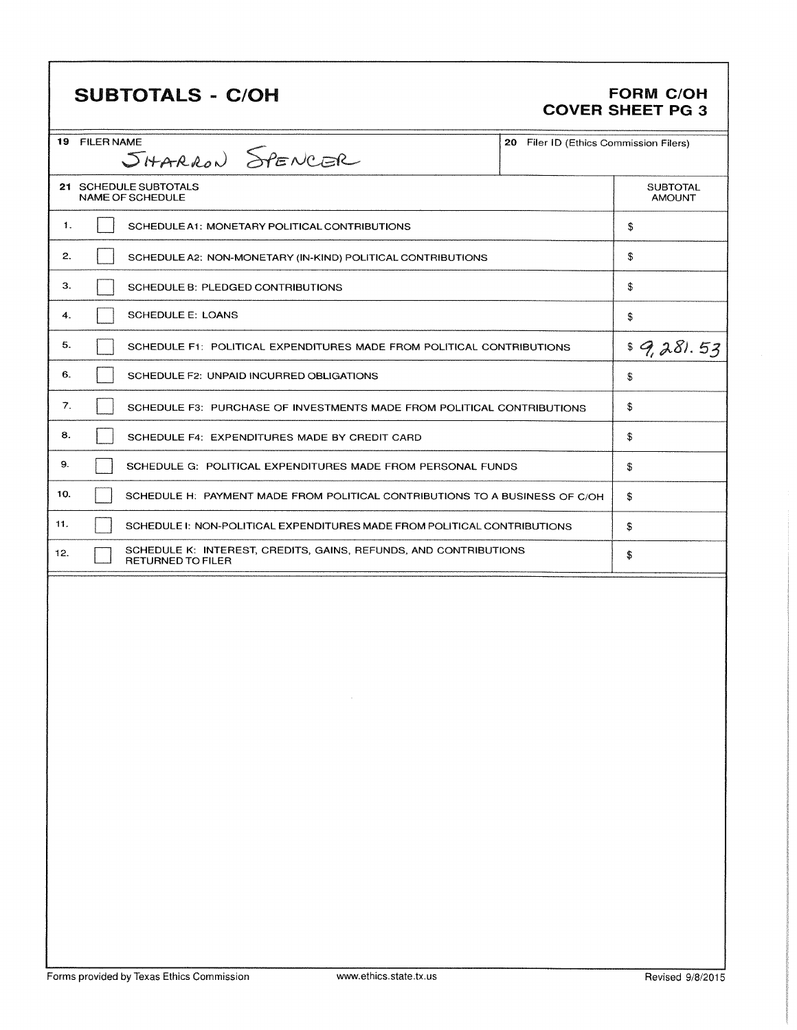# **SUBTOTALS - C/OH**

### **FORM C/OH** COVER SHEET PG 3

|     | <b>19 FILER NAME</b><br>20 Filer ID (Ethics Commission Filers)<br>SHARRON SPENCER |                                                                                              |  |                                  |
|-----|-----------------------------------------------------------------------------------|----------------------------------------------------------------------------------------------|--|----------------------------------|
|     |                                                                                   | 21 SCHEDULE SUBTOTALS<br>NAME OF SCHEDULE                                                    |  | <b>SUBTOTAL</b><br><b>AMOUNT</b> |
| 1.  |                                                                                   | SCHEDULE A1: MONETARY POLITICAL CONTRIBUTIONS                                                |  | \$                               |
| 2.  |                                                                                   | SCHEDULE A2: NON-MONETARY (IN-KIND) POLITICAL CONTRIBUTIONS                                  |  | \$                               |
| З.  |                                                                                   | SCHEDULE B: PLEDGED CONTRIBUTIONS                                                            |  | \$                               |
| 4.  |                                                                                   | <b>SCHEDULE E: LOANS</b>                                                                     |  | \$                               |
| 5.  |                                                                                   | SCHEDULE F1: POLITICAL EXPENDITURES MADE FROM POLITICAL CONTRIBUTIONS                        |  | \$9,281.53                       |
| 6.  |                                                                                   | SCHEDULE F2: UNPAID INCURRED OBLIGATIONS                                                     |  | \$                               |
| 7.  |                                                                                   | SCHEDULE F3: PURCHASE OF INVESTMENTS MADE FROM POLITICAL CONTRIBUTIONS                       |  | \$                               |
| 8.  |                                                                                   | SCHEDULE F4: EXPENDITURES MADE BY CREDIT CARD                                                |  | \$                               |
| 9.  |                                                                                   | SCHEDULE G: POLITICAL EXPENDITURES MADE FROM PERSONAL FUNDS                                  |  | \$                               |
| 10. |                                                                                   | SCHEDULE H: PAYMENT MADE FROM POLITICAL CONTRIBUTIONS TO A BUSINESS OF C/OH                  |  | \$                               |
| 11. |                                                                                   | SCHEDULE I: NON-POLITICAL EXPENDITURES MADE FROM POLITICAL CONTRIBUTIONS                     |  | \$                               |
| 12. |                                                                                   | SCHEDULE K: INTEREST, CREDITS, GAINS, REFUNDS, AND CONTRIBUTIONS<br><b>RETURNED TO FILER</b> |  | \$                               |
|     |                                                                                   |                                                                                              |  |                                  |
|     |                                                                                   |                                                                                              |  |                                  |
|     |                                                                                   |                                                                                              |  |                                  |
|     |                                                                                   |                                                                                              |  |                                  |
|     |                                                                                   |                                                                                              |  |                                  |
|     |                                                                                   |                                                                                              |  |                                  |
|     |                                                                                   |                                                                                              |  |                                  |
|     |                                                                                   |                                                                                              |  |                                  |
|     |                                                                                   |                                                                                              |  |                                  |
|     |                                                                                   |                                                                                              |  |                                  |
|     |                                                                                   |                                                                                              |  |                                  |
|     |                                                                                   |                                                                                              |  |                                  |
|     |                                                                                   |                                                                                              |  |                                  |
|     |                                                                                   |                                                                                              |  |                                  |
|     |                                                                                   |                                                                                              |  |                                  |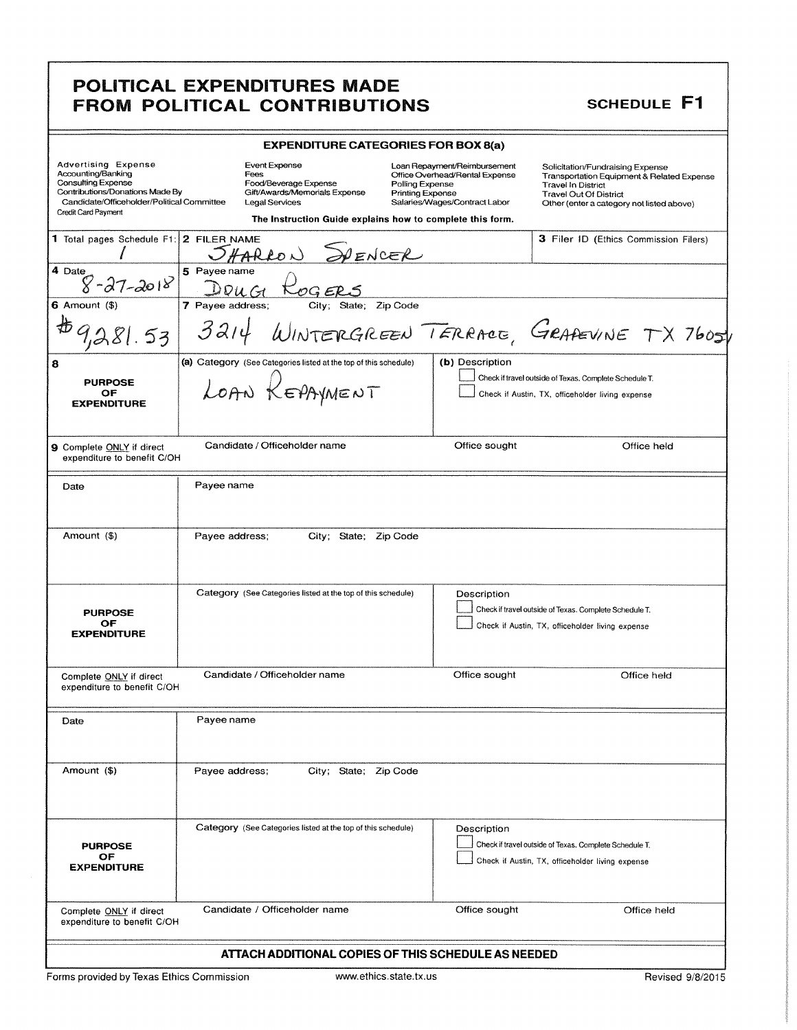## POLITICAL EXPENDITURES MADE FROM POLITICAL CONTRIBUTIONS SCHEDULE F1

| <b>EXPENDITURE CATEGORIES FOR BOX 8(a)</b>                                                                                                                                            |                                                                                                                                                                              |                                                                                                                                               |                                                                                                                                                                                           |  |
|---------------------------------------------------------------------------------------------------------------------------------------------------------------------------------------|------------------------------------------------------------------------------------------------------------------------------------------------------------------------------|-----------------------------------------------------------------------------------------------------------------------------------------------|-------------------------------------------------------------------------------------------------------------------------------------------------------------------------------------------|--|
| <b>Advertising Expense</b><br>Accounting/Banking<br><b>Consulting Expense</b><br>Contributions/Donations Made By<br>Candidate/Officeholder/Political Committee<br>Credit Card Payment | <b>Event Expense</b><br>Fees<br>Food/Beverage Expense<br>Gift/Awards/Memorials Expense<br><b>Legal Services</b><br>The Instruction Guide explains how to complete this form. | Loan Repayment/Reimbursement<br>Office Overhead/Rental Expense<br>Polling Expense<br><b>Printing Expense</b><br>Salaries/Wages/Contract Labor | Solicitation/Fundraising Expense<br>Transportation Equipment & Related Expense<br><b>Travel In District</b><br><b>Travel Out Of District</b><br>Other (enter a category not listed above) |  |
| 1 Total pages Schedule F1: 2 FILER NAME                                                                                                                                               | PENCER<br>ARRON                                                                                                                                                              |                                                                                                                                               | 3 Filer ID (Ethics Commission Filers)                                                                                                                                                     |  |
| 4 Date<br>$8 - 27 - 2018$                                                                                                                                                             | 5 Payee name                                                                                                                                                                 |                                                                                                                                               |                                                                                                                                                                                           |  |
| $6$ Amount $($ \$)<br>53                                                                                                                                                              | 7 Payee address;<br>State; Zip Code<br>City;<br>3214                                                                                                                         |                                                                                                                                               | WINTERGREEN TERRACE, GRAAEVINE TX 76051                                                                                                                                                   |  |
| 8<br><b>PURPOSE</b><br>OF<br><b>EXPENDITURE</b>                                                                                                                                       | (a) Category (See Categories listed at the top of this schedule)<br>LOAN KEPAYMENT                                                                                           | (b) Description                                                                                                                               | Check if travel outside of Texas. Complete Schedule T.<br>Check if Austin, TX, officeholder living expense                                                                                |  |
| 9 Complete ONLY if direct<br>expenditure to benefit C/OH                                                                                                                              | Candidate / Officeholder name                                                                                                                                                | Office sought                                                                                                                                 | Office held                                                                                                                                                                               |  |
| Date                                                                                                                                                                                  | Payee name                                                                                                                                                                   |                                                                                                                                               |                                                                                                                                                                                           |  |
| Amount (\$)                                                                                                                                                                           | Payee address;<br>City; State;<br>Zip Code                                                                                                                                   |                                                                                                                                               |                                                                                                                                                                                           |  |
| <b>PURPOSE</b><br>ОF<br><b>EXPENDITURE</b>                                                                                                                                            | Category (See Categories listed at the top of this schedule)                                                                                                                 | Description                                                                                                                                   | Check if travel outside of Texas. Complete Schedule T.<br>Check if Austin, TX, officeholder living expense                                                                                |  |
| Complete ONLY if direct<br>expenditure to benefit C/OH                                                                                                                                | Candidate / Officeholder name                                                                                                                                                | Office sought                                                                                                                                 | Office held                                                                                                                                                                               |  |
| Date                                                                                                                                                                                  | Payee name                                                                                                                                                                   |                                                                                                                                               |                                                                                                                                                                                           |  |
| Amount (\$)                                                                                                                                                                           | Payee address;<br>City; State; Zip Code                                                                                                                                      |                                                                                                                                               |                                                                                                                                                                                           |  |
| <b>PURPOSE</b><br>OF.<br><b>EXPENDITURE</b>                                                                                                                                           | Category (See Categories listed at the top of this schedule)                                                                                                                 | Description                                                                                                                                   | Check if travel outside of Texas. Complete Schedule T.<br>Check if Austin, TX, officeholder living expense                                                                                |  |
| Complete ONLY if direct<br>expenditure to benefit C/OH                                                                                                                                | Candidate / Officeholder name                                                                                                                                                | Office sought                                                                                                                                 | Office held                                                                                                                                                                               |  |
| ATTACH ADDITIONAL COPIES OF THIS SCHEDULE AS NEEDED                                                                                                                                   |                                                                                                                                                                              |                                                                                                                                               |                                                                                                                                                                                           |  |